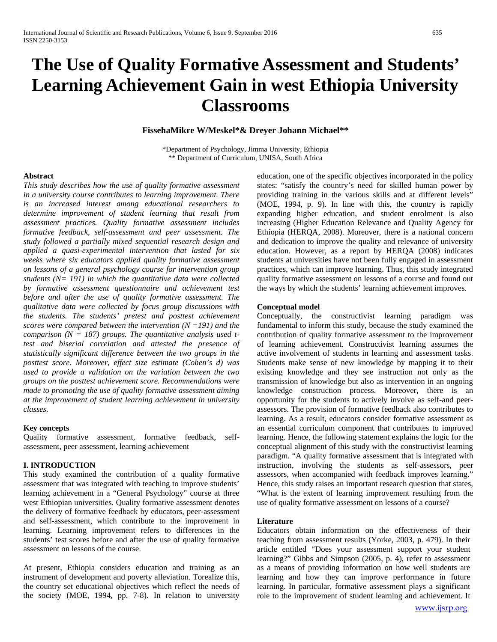# **The Use of Quality Formative Assessment and Students' Learning Achievement Gain in west Ethiopia University Classrooms**

# **FissehaMikre W/Meskel\*& Dreyer Johann Michael\*\***

\*Department of Psychology, Jimma University, Ethiopia \*\* Department of Curriculum, UNISA, South Africa

## **Abstract**

*This study describes how the use of quality formative assessment in a university course contributes to learning improvement. There is an increased interest among educational researchers to determine improvement of student learning that result from assessment practices. Quality formative assessment includes formative feedback, self-assessment and peer assessment. The study followed a partially mixed sequential research design and applied a quasi-experimental intervention that lasted for six weeks where six educators applied quality formative assessment on lessons of a general psychology course for intervention group students (N= 191) in which the quantitative data were collected by formative assessment questionnaire and achievement test before and after the use of quality formative assessment. The qualitative data were collected by focus group discussions with the students. The students' pretest and posttest achievement scores were compared between the intervention (N =191) and the comparison (N = 187) groups. The quantitative analysis used ttest and biserial correlation and attested the presence of statistically significant difference between the two groups in the posttest score. Moreover, effect size estimate (Cohen's d) was used to provide a validation on the variation between the two groups on the posttest achievement score. Recommendations were made to promoting the use of quality formative assessment aiming at the improvement of student learning achievement in university classes.* 

# **Key concepts**

Quality formative assessment, formative feedback, selfassessment, peer assessment, learning achievement

# **I. INTRODUCTION**

This study examined the contribution of a quality formative assessment that was integrated with teaching to improve students' learning achievement in a "General Psychology" course at three west Ethiopian universities. Quality formative assessment denotes the delivery of formative feedback by educators, peer-assessment and self-assessment, which contribute to the improvement in learning. Learning improvement refers to differences in the students' test scores before and after the use of quality formative assessment on lessons of the course.

At present, Ethiopia considers education and training as an instrument of development and poverty alleviation. Torealize this, the country set educational objectives which reflect the needs of the society (MOE, 1994, pp. 7-8). In relation to university

education, one of the specific objectives incorporated in the policy states: "satisfy the country's need for skilled human power by providing training in the various skills and at different levels" (MOE, 1994, p. 9). In line with this, the country is rapidly expanding higher education, and student enrolment is also increasing (Higher Education Relevance and Quality Agency for Ethiopia (HERQA, 2008). Moreover, there is a national concern and dedication to improve the quality and relevance of university education. However, as a report by HERQA (2008) indicates students at universities have not been fully engaged in assessment practices, which can improve learning. Thus, this study integrated quality formative assessment on lessons of a course and found out the ways by which the students' learning achievement improves.

### **Conceptual model**

Conceptually, the constructivist learning paradigm was fundamental to inform this study, because the study examined the contribution of quality formative assessment to the improvement of learning achievement. Constructivist learning assumes the active involvement of students in learning and assessment tasks. Students make sense of new knowledge by mapping it to their existing knowledge and they see instruction not only as the transmission of knowledge but also as intervention in an ongoing knowledge construction process. Moreover, there is an opportunity for the students to actively involve as self-and peerassessors. The provision of formative feedback also contributes to learning. As a result, educators consider formative assessment as an essential curriculum component that contributes to improved learning. Hence, the following statement explains the logic for the conceptual alignment of this study with the constructivist learning paradigm. "A quality formative assessment that is integrated with instruction, involving the students as self-assessors, peer assessors, when accompanied with feedback improves learning." Hence, this study raises an important research question that states, "What is the extent of learning improvement resulting from the use of quality formative assessment on lessons of a course?

## **Literature**

Educators obtain information on the effectiveness of their teaching from assessment results (Yorke, 2003, p. 479). In their article entitled "Does your assessment support your student learning?" Gibbs and Simpson (2005, p. 4), refer to assessment as a means of providing information on how well students are learning and how they can improve performance in future learning. In particular, formative assessment plays a significant role to the improvement of student learning and achievement. It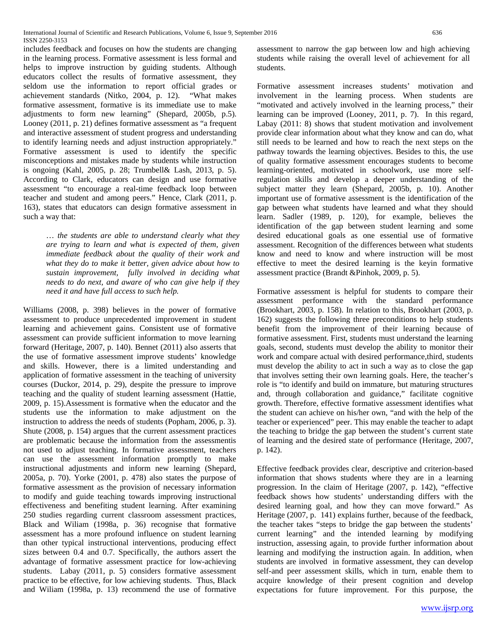International Journal of Scientific and Research Publications, Volume 6, Issue 9, September 2016 636 ISSN 2250-3153

includes feedback and focuses on how the students are changing in the learning process. Formative assessment is less formal and helps to improve instruction by guiding students. Although educators collect the results of formative assessment, they seldom use the information to report official grades or achievement standards (Nitko, 2004, p. 12). "What makes achievement standards (Nitko, 2004, p. 12). formative assessment, formative is its immediate use to make adjustments to form new learning" (Shepard, 2005b, p.5). Looney (2011, p. 21) defines formative assessment as "a frequent and interactive assessment of student progress and understanding to identify learning needs and adjust instruction appropriately." Formative assessment is used to identify the specific misconceptions and mistakes made by students while instruction is ongoing (Kahl, 2005, p. 28; Trumbell& Lash, 2013, p. 5). According to Clark, educators can design and use formative assessment "to encourage a real-time feedback loop between teacher and student and among peers." Hence, Clark (2011, p. 163), states that educators can design formative assessment in such a way that:

> … *the students are able to understand clearly what they are trying to learn and what is expected of them, given immediate feedback about the quality of their work and what they do to make it better, given advice about how to sustain improvement, fully involved in deciding what needs to do next, and aware of who can give help if they need it and have full access to such help.*

Williams (2008, p. 398) believes in the power of formative assessment to produce unprecedented improvement in student learning and achievement gains. Consistent use of formative assessment can provide sufficient information to move learning forward (Heritage, 2007, p. 140). Bennet (2011) also asserts that the use of formative assessment improve students' knowledge and skills. However, there is a limited understanding and application of formative assessment in the teaching of university courses (Duckor, 2014, p. 29), despite the pressure to improve teaching and the quality of student learning assessment (Hattie, 2009, p. 15).Assessment is formative when the educator and the students use the information to make adjustment on the instruction to address the needs of students (Popham, 2006, p. 3). Shute (2008, p. 154) argues that the current assessment practices are problematic because the information from the assessmentis not used to adjust teaching. In formative assessment, teachers can use the assessment information promptly to make instructional adjustments and inform new learning (Shepard, 2005a, p. 70). Yorke (2001, p. 478) also states the purpose of formative assessment as the provision of necessary information to modify and guide teaching towards improving instructional effectiveness and benefiting student learning. After examining 250 studies regarding current classroom assessment practices, Black and Wiliam (1998a, p. 36) recognise that formative assessment has a more profound influence on student learning than other typical instructional interventions, producing effect sizes between 0.4 and 0.7. Specifically, the authors assert the advantage of formative assessment practice for low-achieving students. Labay (2011, p. 5) considers formative assessment practice to be effective, for low achieving students. Thus, Black and Wiliam (1998a, p. 13) recommend the use of formative

assessment to narrow the gap between low and high achieving students while raising the overall level of achievement for all students.

Formative assessment increases students' motivation and involvement in the learning process. When students are "motivated and actively involved in the learning process," their learning can be improved (Looney, 2011, p. 7). In this regard, Labay (2011: 8) shows that student motivation and involvement provide clear information about what they know and can do, what still needs to be learned and how to reach the next steps on the pathway towards the learning objectives. Besides to this, the use of quality formative assessment encourages students to become learning-oriented, motivated in schoolwork, use more selfregulation skills and develop a deeper understanding of the subject matter they learn (Shepard, 2005b, p. 10). Another important use of formative assessment is the identification of the gap between what students have learned and what they should learn. Sadler (1989, p. 120), for example, believes the identification of the gap between student learning and some desired educational goals as one essential use of formative assessment. Recognition of the differences between what students know and need to know and where instruction will be most effective to meet the desired learning is the keyin formative assessment practice (Brandt &Pinhok, 2009, p. 5).

Formative assessment is helpful for students to compare their assessment performance with the standard performance (Brookhart, 2003, p. 158). In relation to this, Brookhart (2003, p. 162) suggests the following three preconditions to help students benefit from the improvement of their learning because of formative assessment. First, students must understand the learning goals, second, students must develop the ability to monitor their work and compare actual with desired performance,third, students must develop the ability to act in such a way as to close the gap that involves setting their own learning goals. Here, the teacher's role is "to identify and build on immature, but maturing structures and, through collaboration and guidance," facilitate cognitive growth. Therefore, effective formative assessment identifies what the student can achieve on his/her own, "and with the help of the teacher or experienced" peer. This may enable the teacher to adapt the teaching to bridge the gap between the student's current state of learning and the desired state of performance (Heritage, 2007, p. 142).

Effective feedback provides clear, descriptive and criterion-based information that shows students where they are in a learning progression. In the claim of Heritage (2007, p. 142), "effective feedback shows how students' understanding differs with the desired learning goal, and how they can move forward." As Heritage (2007, p. 141) explains further, because of the feedback, the teacher takes "steps to bridge the gap between the students' current learning" and the intended learning by modifying instruction, assessing again, to provide further information about learning and modifying the instruction again. In addition, when students are involved in formative assessment, they can develop self-and peer assessment skills, which in turn, enable them to acquire knowledge of their present cognition and develop expectations for future improvement. For this purpose, the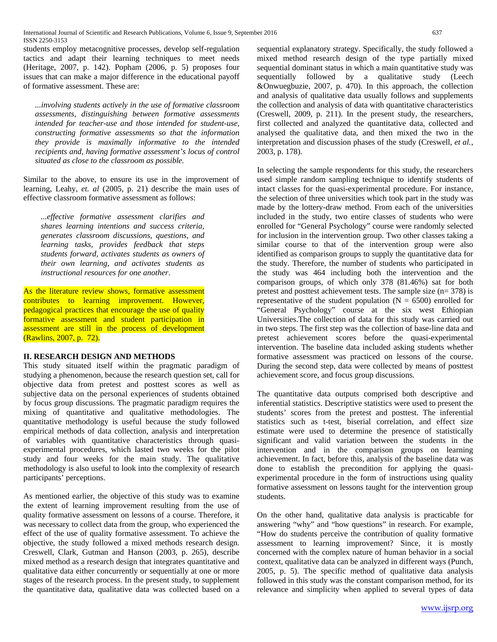students employ metacognitive processes, develop self-regulation tactics and adapt their learning techniques to meet needs (Heritage, 2007, p. 142). Popham (2006, p. 5) proposes four issues that can make a major difference in the educational payoff of formative assessment. These are:

*...involving students actively in the use of formative classroom assessments, distinguishing between formative assessments intended for teacher-use and those intended for student-use, constructing formative assessments so that the information they provide is maximally informative to the intended recipients and, having formative assessment's locus of control situated as close to the classroom as possible.*

Similar to the above, to ensure its use in the improvement of learning, Leahy, *et. al* (2005, p. 21) describe the main uses of effective classroom formative assessment as follows:

*...effective formative assessment clarifies and shares learning intentions and success criteria, generates classroom discussions, questions, and learning tasks, provides feedback that steps students forward, activates students as owners of their own learning, and activates students as instructional resources for one another*.

As the literature review shows, formative assessment contributes to learning improvement. However, pedagogical practices that encourage the use of quality formative assessment and student participation in assessment are still in the process of development (Rawlins, 2007, p. 72).

# **II. RESEARCH DESIGN AND METHODS**

This study situated itself within the pragmatic paradigm of studying a phenomenon, because the research question set, call for objective data from pretest and posttest scores as well as subjective data on the personal experiences of students obtained by focus group discussions. The pragmatic paradigm requires the mixing of quantitative and qualitative methodologies. The quantitative methodology is useful because the study followed empirical methods of data collection, analysis and interpretation of variables with quantitative characteristics through quasiexperimental procedures, which lasted two weeks for the pilot study and four weeks for the main study. The qualitative methodology is also useful to look into the complexity of research participants' perceptions.

As mentioned earlier, the objective of this study was to examine the extent of learning improvement resulting from the use of quality formative assessment on lessons of a course. Therefore, it was necessary to collect data from the group, who experienced the effect of the use of quality formative assessment. To achieve the objective, the study followed a mixed methods research design. Creswell, Clark, Gutman and Hanson (2003, p. 265), describe mixed method as a research design that integrates quantitative and qualitative data either concurrently or sequentially at one or more stages of the research process. In the present study, to supplement the quantitative data, qualitative data was collected based on a sequential explanatory strategy. Specifically, the study followed a mixed method research design of the type partially mixed sequential dominant status in which a main quantitative study was sequentially followed by a qualitative study (Leech &Onwuegbuzie, 2007, p. 470). In this approach, the collection and analysis of qualitative data usually follows and supplements the collection and analysis of data with quantitative characteristics (Creswell, 2009, p. 211). In the present study, the researchers, first collected and analyzed the quantitative data, collected and analysed the qualitative data, and then mixed the two in the interpretation and discussion phases of the study (Creswell, *et al.*, 2003, p. 178).

In selecting the sample respondents for this study, the researchers used simple random sampling technique to identify students of intact classes for the quasi-experimental procedure. For instance, the selection of three universities which took part in the study was made by the lottery-draw method. From each of the universities included in the study, two entire classes of students who were enrolled for "General Psychology" course were randomly selected for inclusion in the intervention group. Two other classes taking a similar course to that of the intervention group were also identified as comparison groups to supply the quantitative data for the study. Therefore, the number of students who participated in the study was 464 including both the intervention and the comparison groups, of which only 378 (81.46%) sat for both pretest and posttest achievement tests. The sample size (n= 378) is representative of the student population ( $N = 6500$ ) enrolled for "General Psychology" course at the six west Ethiopian Universities.The collection of data for this study was carried out in two steps. The first step was the collection of base-line data and pretest achievement scores before the quasi-experimental intervention. The baseline data included asking students whether formative assessment was practiced on lessons of the course. During the second step, data were collected by means of posttest achievement score, and focus group discussions.

The quantitative data outputs comprised both descriptive and inferential statistics. Descriptive statistics were used to present the students' scores from the pretest and posttest. The inferential statistics such as t-test, biserial correlation, and effect size estimate were used to determine the presence of statistically significant and valid variation between the students in the intervention and in the comparison groups on learning achievement. In fact, before this, analysis of the baseline data was done to establish the precondition for applying the quasiexperimental procedure in the form of instructions using quality formative assessment on lessons taught for the intervention group students.

On the other hand, qualitative data analysis is practicable for answering "why" and "how questions" in research. For example, "How do students perceive the contribution of quality formative assessment to learning improvement? Since, it is mostly concerned with the complex nature of human behavior in a social context, qualitative data can be analyzed in different ways (Punch, 2005, p. 5). The specific method of qualitative data analysis followed in this study was the constant comparison method, for its relevance and simplicity when applied to several types of data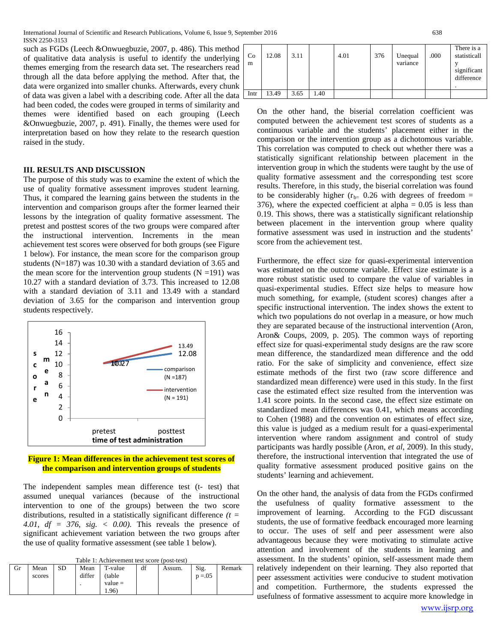such as FGDs (Leech &Onwuegbuzie, 2007, p. 486). This method of qualitative data analysis is useful to identify the underlying themes emerging from the research data set. The researchers read through all the data before applying the method. After that, the data were organized into smaller chunks. Afterwards, every chunk of data was given a label with a describing code. After all the data had been coded, the codes were grouped in terms of similarity and themes were identified based on each grouping (Leech &Onwuegbuzie, 2007, p. 491). Finally, the themes were used for interpretation based on how they relate to the research question raised in the study.

# **III. RESULTS AND DISCUSSION**

The purpose of this study was to examine the extent of which the use of quality formative assessment improves student learning. Thus, it compared the learning gains between the students in the intervention and comparison groups after the former learned their lessons by the integration of quality formative assessment. The pretest and posttest scores of the two groups were compared after the instructional intervention. Increments in the mean achievement test scores were observed for both groups (see Figure 1 below). For instance, the mean score for the comparison group students (N=187) was 10.30 with a standard deviation of 3.65 and the mean score for the intervention group students  $(N = 191)$  was 10.27 with a standard deviation of 3.73. This increased to 12.08 with a standard deviation of 3.11 and 13.49 with a standard deviation of 3.65 for the comparison and intervention group students respectively.



## **Figure 1: Mean differences in the achievement test scores of the comparison and intervention groups of students**

The independent samples mean difference test (t- test) that assumed unequal variances (because of the instructional intervention to one of the groups) between the two score distributions, resulted in a statistically significant difference *(t = 4.01, df = 376, sig. < 0.00).* This reveals the presence of significant achievement variation between the two groups after the use of quality formative assessment (see table 1 below).

| Gr | Mean<br>scores | SD | Mean<br>differ | T-value<br>(table<br>$value =$ | df | Assum. | Sig.<br>$p = 0.05$ | Remark |
|----|----------------|----|----------------|--------------------------------|----|--------|--------------------|--------|
|    |                |    |                | (0.96)                         |    |        |                    |        |

| Co<br>m | 12.08 | 3.11 |      | 4.01 | 376 | Unequal<br>variance | .000 | There is a<br>statisticall<br>significant<br>difference |
|---------|-------|------|------|------|-----|---------------------|------|---------------------------------------------------------|
| Intr    | 13.49 | 3.65 | 1.40 |      |     |                     |      |                                                         |

On the other hand, the biserial correlation coefficient was computed between the achievement test scores of students as a continuous variable and the students' placement either in the comparison or the intervention group as a dichotomous variable. This correlation was computed to check out whether there was a statistically significant relationship between placement in the intervention group in which the students were taught by the use of quality formative assessment and the corresponding test score results. Therefore, in this study, the biserial correlation was found to be considerably higher ( $r_{b=}$  0.26 with degrees of freedom = 376), where the expected coefficient at alpha  $= 0.05$  is less than 0.19. This shows, there was a statistically significant relationship between placement in the intervention group where quality formative assessment was used in instruction and the students' score from the achievement test.

Furthermore, the effect size for quasi-experimental intervention was estimated on the outcome variable. Effect size estimate is a more robust statistic used to compare the value of variables in quasi-experimental studies. Effect size helps to measure how much something, for example, (student scores) changes after a specific instructional intervention. The index shows the extent to which two populations do not overlap in a measure, or how much they are separated because of the instructional intervention (Aron, Aron& Coups, 2009, p. 205). The common ways of reporting effect size for quasi-experimental study designs are the raw score mean difference, the standardized mean difference and the odd ratio. For the sake of simplicity and convenience, effect size estimate methods of the first two (raw score difference and standardized mean difference) were used in this study. In the first case the estimated effect size resulted from the intervention was 1.41 score points. In the second case, the effect size estimate on standardized mean differences was 0.41, which means according to Cohen (1988) and the convention on estimates of effect size, this value is judged as a medium result for a quasi-experimental intervention where random assignment and control of study participants was hardly possible (Aron, *et al*, 2009). In this study, therefore, the instructional intervention that integrated the use of quality formative assessment produced positive gains on the students' learning and achievement.

On the other hand, the analysis of data from the FGDs confirmed the usefulness of quality formative assessment to the improvement of learning. According to the FGD discussant students, the use of formative feedback encouraged more learning to occur. The uses of self and peer assessment were also advantageous because they were motivating to stimulate active attention and involvement of the students in learning and assessment. In the students' opinion, self-assessment made them relatively independent on their learning. They also reported that peer assessment activities were conducive to student motivation and competition. Furthermore, the students expressed the usefulness of formative assessment to acquire more knowledge in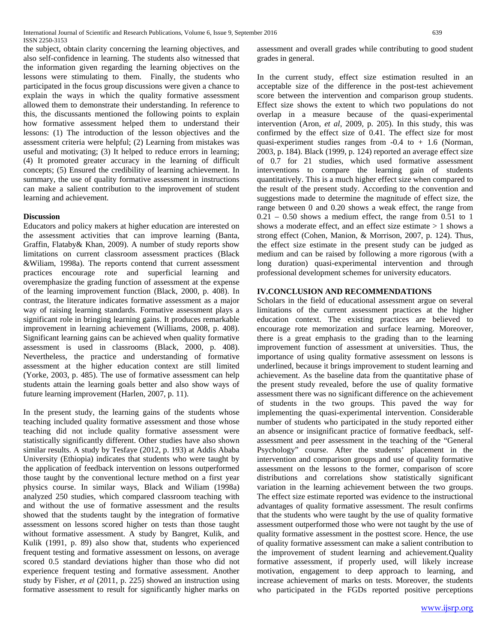the subject, obtain clarity concerning the learning objectives, and also self-confidence in learning. The students also witnessed that the information given regarding the learning objectives on the lessons were stimulating to them. Finally, the students who participated in the focus group discussions were given a chance to explain the ways in which the quality formative assessment allowed them to demonstrate their understanding. In reference to this, the discussants mentioned the following points to explain how formative assessment helped them to understand their lessons: (1) The introduction of the lesson objectives and the assessment criteria were helpful; (2) Learning from mistakes was useful and motivating; (3) It helped to reduce errors in learning; (4) It promoted greater accuracy in the learning of difficult concepts; (5) Ensured the credibility of learning achievement. In summary, the use of quality formative assessment in instructions can make a salient contribution to the improvement of student learning and achievement.

# **Discussion**

Educators and policy makers at higher education are interested on the assessment activities that can improve learning (Banta, Graffin, Flataby& Khan, 2009). A number of study reports show limitations on current classroom assessment practices (Black &Wiliam, 1998a). The reports contend that current assessment practices encourage rote and superficial learning and overemphasize the grading function of assessment at the expense of the learning improvement function (Black, 2000, p. 408). In contrast, the literature indicates formative assessment as a major way of raising learning standards. Formative assessment plays a significant role in bringing learning gains. It produces remarkable improvement in learning achievement (Williams, 2008, p. 408). Significant learning gains can be achieved when quality formative assessment is used in classrooms (Black, 2000, p. 408). Nevertheless, the practice and understanding of formative assessment at the higher education context are still limited (Yorke, 2003, p. 485). The use of formative assessment can help students attain the learning goals better and also show ways of future learning improvement (Harlen, 2007, p. 11).

In the present study, the learning gains of the students whose teaching included quality formative assessment and those whose teaching did not include quality formative assessment were statistically significantly different. Other studies have also shown similar results. A study by Tesfaye (2012, p. 193) at Addis Ababa University (Ethiopia) indicates that students who were taught by the application of feedback intervention on lessons outperformed those taught by the conventional lecture method on a first year physics course. In similar ways, Black and Wiliam (1998a) analyzed 250 studies, which compared classroom teaching with and without the use of formative assessment and the results showed that the students taught by the integration of formative assessment on lessons scored higher on tests than those taught without formative assessment. A study by Bangret, Kulik, and Kulik (1991, p. 89) also show that, students who experienced frequent testing and formative assessment on lessons, on average scored 0.5 standard deviations higher than those who did not experience frequent testing and formative assessment. Another study by Fisher, *et al* (2011, p. 225) showed an instruction using formative assessment to result for significantly higher marks on assessment and overall grades while contributing to good student grades in general.

In the current study, effect size estimation resulted in an acceptable size of the difference in the post-test achievement score between the intervention and comparison group students. Effect size shows the extent to which two populations do not overlap in a measure because of the quasi-experimental intervention (Aron, *et al*, 2009, p. 205). In this study, this was confirmed by the effect size of 0.41. The effect size for most quasi-experiment studies ranges from -0.4 to + 1.6 (Norman, 2003, p. 184). Black (1999, p. 124) reported an average effect size of 0.7 for 21 studies, which used formative assessment interventions to compare the learning gain of students quantitatively. This is a much higher effect size when compared to the result of the present study. According to the convention and suggestions made to determine the magnitude of effect size, the range between 0 and 0.20 shows a weak effect, the range from  $0.21 - 0.50$  shows a medium effect, the range from  $0.51$  to 1 shows a moderate effect, and an effect size estimate > 1 shows a strong effect (Cohen, Manion, & Morrison, 2007, p. 124). Thus, the effect size estimate in the present study can be judged as medium and can be raised by following a more rigorous (with a long duration) quasi-experimental intervention and through professional development schemes for university educators.

# **IV.CONCLUSION AND RECOMMENDATIONS**

Scholars in the field of educational assessment argue on several limitations of the current assessment practices at the higher education context. The existing practices are believed to encourage rote memorization and surface learning. Moreover, there is a great emphasis to the grading than to the learning improvement function of assessment at universities. Thus, the importance of using quality formative assessment on lessons is underlined, because it brings improvement to student learning and achievement. As the baseline data from the quantitative phase of the present study revealed, before the use of quality formative assessment there was no significant difference on the achievement of students in the two groups. This paved the way for implementing the quasi-experimental intervention. Considerable number of students who participated in the study reported either an absence or insignificant practice of formative feedback, selfassessment and peer assessment in the teaching of the "General Psychology" course. After the students' placement in the intervention and comparison groups and use of quality formative assessment on the lessons to the former, comparison of score distributions and correlations show statistically significant variation in the learning achievement between the two groups. The effect size estimate reported was evidence to the instructional advantages of quality formative assessment. The result confirms that the students who were taught by the use of quality formative assessment outperformed those who were not taught by the use of quality formative assessment in the posttest score. Hence, the use of quality formative assessment can make a salient contribution to the improvement of student learning and achievement.Quality formative assessment, if properly used, will likely increase motivation, engagement to deep approach to learning, and increase achievement of marks on tests. Moreover, the students who participated in the FGDs reported positive perceptions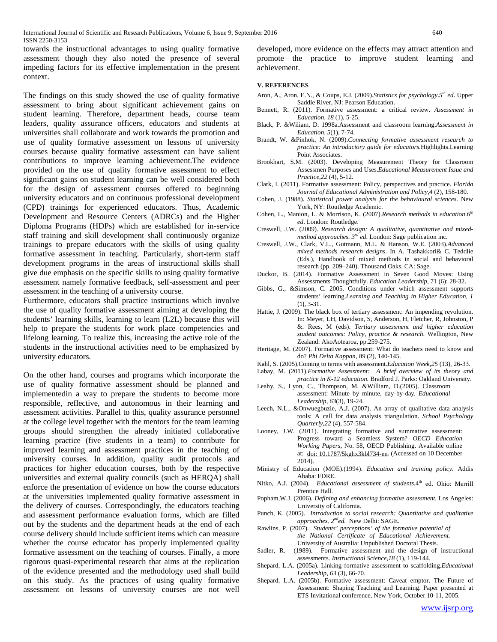towards the instructional advantages to using quality formative assessment though they also noted the presence of several impeding factors for its effective implementation in the present context.

The findings on this study showed the use of quality formative assessment to bring about significant achievement gains on student learning. Therefore, department heads, course team leaders, quality assurance officers, educators and students at universities shall collaborate and work towards the promotion and use of quality formative assessment on lessons of university courses because quality formative assessment can have salient contributions to improve learning achievement.The evidence provided on the use of quality formative assessment to effect significant gains on student learning can be well considered both for the design of assessment courses offered to beginning university educators and on continuous professional development (CPD) trainings for experienced educators. Thus, Academic Development and Resource Centers (ADRCs) and the Higher Diploma Programs (HDPs) which are established for in-service staff training and skill development shall continuously organize trainings to prepare educators with the skills of using quality formative assessment in teaching. Particularly, short-term staff development programs in the areas of instructional skills shall give due emphasis on the specific skills to using quality formative assessment namely formative feedback, self-assessment and peer assessment in the teaching of a university course.

Furthermore, educators shall practice instructions which involve the use of quality formative assessment aiming at developing the students' learning skills, learning to learn (L2L) because this will help to prepare the students for work place competencies and lifelong learning. To realize this, increasing the active role of the students in the instructional activities need to be emphasized by university educators.

On the other hand, courses and programs which incorporate the use of quality formative assessment should be planned and implementedin a way to prepare the students to become more responsible, reflective, and autonomous in their learning and assessment activities. Parallel to this, quality assurance personnel at the college level together with the mentors for the team learning groups should strengthen the already initiated collaborative learning practice (five students in a team) to contribute for improved learning and assessment practices in the teaching of university courses. In addition, quality audit protocols and practices for higher education courses, both by the respective universities and external quality councils (such as HERQA) shall enforce the presentation of evidence on how the course educators at the universities implemented quality formative assessment in the delivery of courses. Correspondingly, the educators teaching and assessment performance evaluation forms, which are filled out by the students and the department heads at the end of each course delivery should include sufficient items which can measure whether the course educator has properly implemented quality formative assessment on the teaching of courses. Finally, a more rigorous quasi-experimental research that aims at the replication of the evidence presented and the methodology used shall build on this study. As the practices of using quality formative assessment on lessons of university courses are not well

developed, more evidence on the effects may attract attention and promote the practice to improve student learning and achievement.

#### **V. REFERENCES**

- Aron, A., Aron, E.N., & Coups, E.J. (2009).*Statistics for psychology*. $5<sup>th</sup>$  *ed.* Upper Saddle River, NJ: Pearson Education.
- Bennett, R. (2011). Formative assessment: a critical review. *Assessment in Education, 18* (1), 5-25.
- Black, P. &Wiliam, D. 1998a.Assessment and classroom learning.*Assessment in Education, 5*(1), 7-74.
- Brandt, W. &Pinhok, N. (2009).*Connecting formative assessment research to practice: An introductory guide for educators.*Highlights.Learning Point Associates.
- Brookhart, S.M. (2003). Developing Measurement Theory for Classroom Assessmen Purposes and Uses.*Educational Measurement Issue and Practice,22* (4), 5-12.
- Clark, I. (2011). Formative assessment: Policy, perspectives and practice. *Florida Journal of Educational Administration and Policy,4* (2), 158-180.
- Cohen, J. (1988). *Statistical power analysis for the behavioural sciences*. New York, NY: Routledge Academic.
- Cohen, L., Manion, L. & Morrison, K. (2007).*Research methods in education*.*6th ed*. London: Routledge.
- Creswell, J.W. (2009). *Research design: A qualitative, quantitative and mixedmethod approaches. 3rd ed*. London: Sage publication inc.
- Creswell, J.W., Clark, V.L., Gutmann, M.L. & Hanson, W.E. (2003).*Advanced mixed methods research designs.* In A. Tashakkori& C. Teddlie (Eds.), Handbook of mixed methods in social and behavioral research (pp. 209–240). Thousand Oaks, CA: Sage.
- Duckor, B. (2014). Formative Assessment in Seven Good Moves: Using Assessments Thoughtfully. *Education Leadership,* 71 (6): 28-32.
- Gibbs, G., &Simson, C. 2005. Conditions under which assessment supports students' learning.*Learning and Teaching in Higher Education, 1* (1), 3-31.
- Hattie, J. (2009). The black box of tertiary assessment: An impending revolution. In: Meyer, LH, Davidson, S, Anderson, H, Fletcher, R, Johnston, P &. Rees, M (eds). *Tertiary assessment and higher education student outcomes: Policy, practice & research.* Wellington, New Zealand: AkoAotearoa, pp.259-275.
- Heritage, M. (2007). Formative assessment: What do teachers need to know and do? *Phi Delta Kappan, 89* (2), 140-145.
- Kahl, S. (2005).Coming to terms with assessment.*Education Week,25* (13), 26-33.
- Labay, M. (2011).*Formative Assessment: A brief overview of its theory and practice in K-12 education.* Bradford J. Parks: Oakland University.
- Leahy, S., Lyon, C., Thompson, M. &William, D.(2005). Classroom assessment: Minute by minute, day-by-day. *Educational Leadership, 63*(3), 19-24.
- Leech, N.L., &Onwuegbuzie, A.J. (2007). An array of qualitative data analysis tools: A call for data analysis triangulation. *School Psychology Quarterly,22* (4), 557-584.
- Looney, J.W. (2011). Integrating formative and summative assessment: Progress toward a Seamless System? *OECD Education Working Papers*, No. 58, OECD Publishing. Available online at: [doi: 10.1787/5kghx3kbl734-en.](http://dx.doi.org/10.1787/5kghx3kbl734-en) (Accessed on 10 December 2014).
- Ministry of Education (MOE).(1994). *Education and training policy.* Addis Ababa: FDRE.
- Nitko, A.J. (2004). *Educational assessment of students*.4<sup>th</sup> ed. Ohio: Merrill Prentice Hall.
- Popham,W.J. (2006). *Defining and enhancing formative assessment.* Los Angeles: University of California.
- Punch, K. (2005). *Introduction to social research: Quantitative and qualitative approaches. 2nded.* New Delhi: SAGE.
- Rawlins, P. (2007). *Students' perceptions' of the formative potential of the National Certificate of Educational Achievement.* University of Australia: Unpublished Doctoral Thesis.
- Sadler, R. (1989). Formative assessment and the design of instructional assessments. *Instructional Science,18* (1), 119-144.
- Shepard, L.A. (2005a). Linking formative assessment to scaffolding.*Educational Leadership, 63* (3), 66-70.
- Shepard, L.A. (2005b). Formative assessment: Caveat emptor. The Future of Assessment: Shaping Teaching and Learning. Paper presented at ETS Invitational conference, New York, October 10-11, 2005.